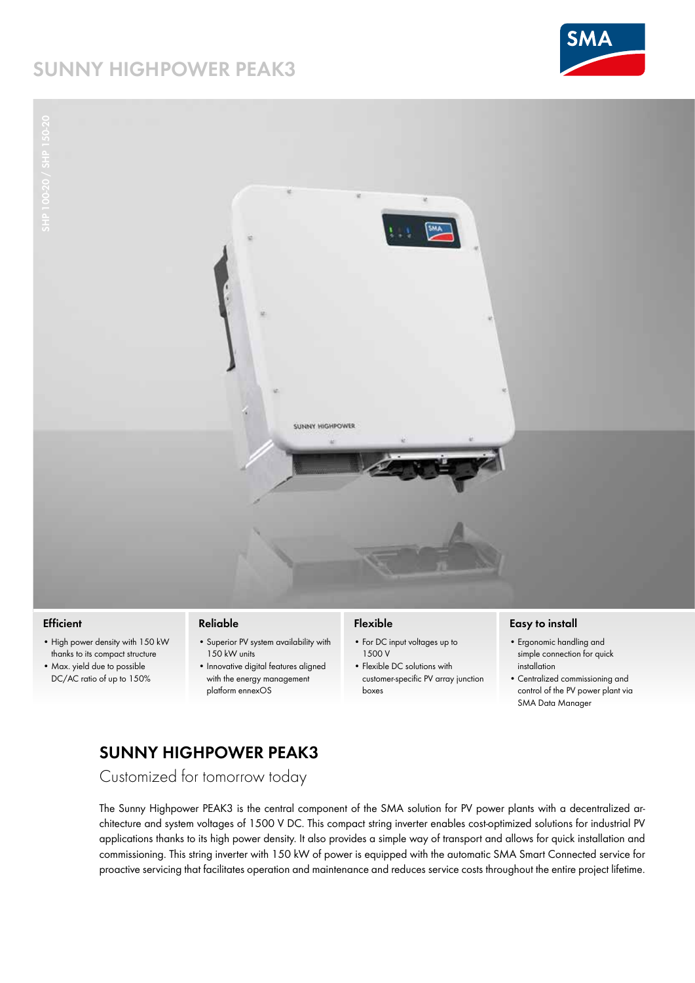# **SUNNY HIGHPOWER PEAK3**





#### **Efficient**

- High power density with 150 kW thanks to its compact structure
- Max. yield due to possible DC/AC ratio of up to 150%

#### **Reliable**

- Superior PV system availability with 150 kW units
	- Innovative digital features aligned with the energy management platform ennexOS

### **Flexible**

- For DC input voltages up to 1500 V
- Flexible DC solutions with customer-specific PV array junction boxes

#### **Easy to install**

- Ergonomic handling and simple connection for quick installation
- Centralized commissioning and control of the PV power plant via SMA Data Manager

## **SUNNY HIGHPOWER PEAK3**

Customized for tomorrow today

The Sunny Highpower PEAK3 is the central component of the SMA solution for PV power plants with a decentralized architecture and system voltages of 1500 V DC. This compact string inverter enables cost-optimized solutions for industrial PV applications thanks to its high power density. It also provides a simple way of transport and allows for quick installation and commissioning. This string inverter with 150 kW of power is equipped with the automatic SMA Smart Connected service for proactive servicing that facilitates operation and maintenance and reduces service costs throughout the entire project lifetime.